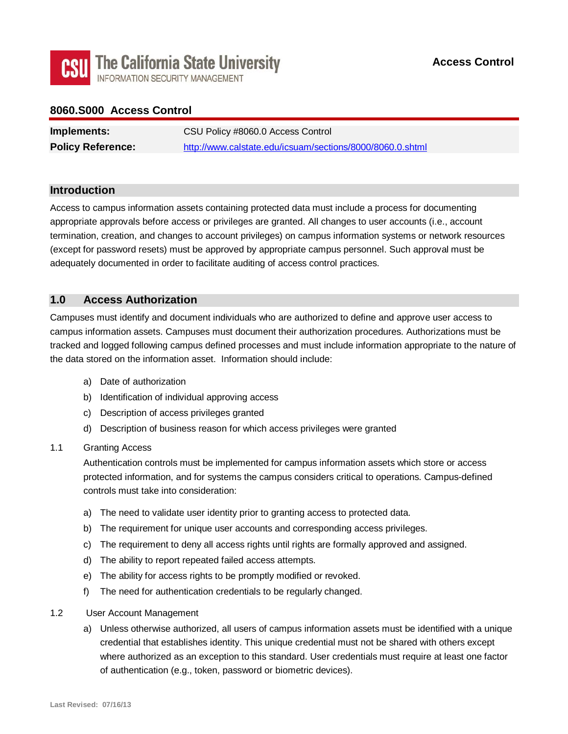

# **8060.S000 Access Control**

| Implements:              | CSU Policy #8060.0 Access Control                         |
|--------------------------|-----------------------------------------------------------|
| <b>Policy Reference:</b> | http://www.calstate.edu/icsuam/sections/8000/8060.0.shtml |

## **Introduction**

Access to campus information assets containing protected data must include a process for documenting appropriate approvals before access or privileges are granted. All changes to user accounts (i.e., account termination, creation, and changes to account privileges) on campus information systems or network resources (except for password resets) must be approved by appropriate campus personnel. Such approval must be adequately documented in order to facilitate auditing of access control practices.

## **1.0 Access Authorization**

 the data stored on the information asset. Information should include: Campuses must identify and document individuals who are authorized to define and approve user access to campus information assets. Campuses must document their authorization procedures. Authorizations must be tracked and logged following campus defined processes and must include information appropriate to the nature of

- a) Date of authorization
- b) Identification of individual approving access
- c) Description of access privileges granted
- d) Description of business reason for which access privileges were granted

### 1.1 Granting Access

 Authentication controls must be implemented for campus information assets which store or access controls must take into consideration: protected information, and for systems the campus considers critical to operations. Campus-defined

- a) The need to validate user identity prior to granting access to protected data.
- b) The requirement for unique user accounts and corresponding access privileges.
- c) The requirement to deny all access rights until rights are formally approved and assigned.
- d) The ability to report repeated failed access attempts.
- d) The ability to report repeated failed access attempts.<br>e) The ability for access rights to be promptly modified or revoked.
- f) The need for authentication credentials to be regularly changed.
- $1.2$ User Account Management
	- a) Unless otherwise authorized, all users of campus information assets must be identified with a unique credential that establishes identity. This unique credential must not be shared with others except where authorized as an exception to this standard. User credentials must require at least one factor of authentication (e.g., token, password or biometric devices).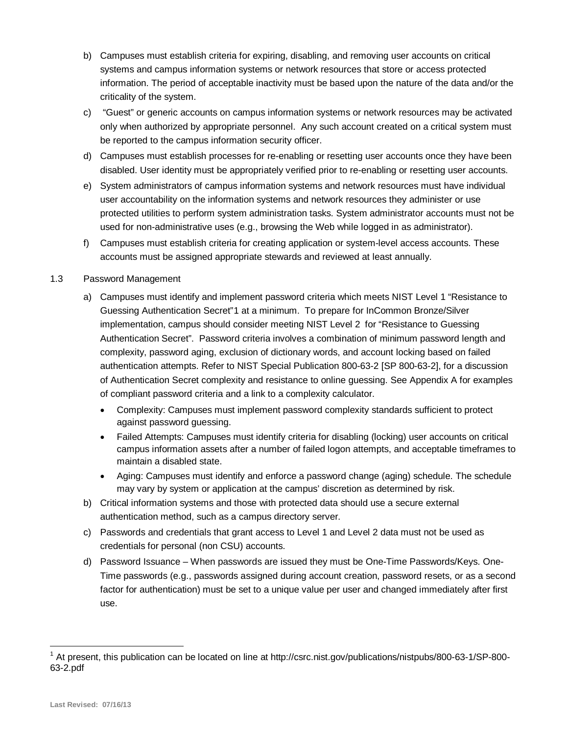- b) Campuses must establish criteria for expiring, disabling, and removing user accounts on critical systems and campus information systems or network resources that store or access protected information. The period of acceptable inactivity must be based upon the nature of the data and/or the criticality of the system.
- c) "Guest" or generic accounts on campus information systems or network resources may be activated be reported to the campus information security officer. only when authorized by appropriate personnel. Any such account created on a critical system must
- d) Campuses must establish processes for re-enabling or resetting user accounts once they have been disabled. User identity must be appropriately verified prior to re-enabling or resetting user accounts.
- e) System administrators of campus information systems and network resources must have individual user accountability on the information systems and network resources they administer or use protected utilities to perform system administration tasks. System administrator accounts must not be used for non-administrative uses (e.g., browsing the Web while logged in as administrator).
- f) Campuses must establish criteria for creating application or system-level access accounts. These accounts must be assigned appropriate stewards and reviewed at least annually.

### 1.3 Password Management

- Guessing Authentication Secret"[1](#page-1-0) at a minimum. To prepare for InCommon Bronze/Silver Authentication Secret". Password criteria involves a combination of minimum password length and a) Campuses must identify and implement password criteria which meets NIST Level 1 "Resistance to implementation, campus should consider meeting NIST Level 2 for "Resistance to Guessing complexity, password aging, exclusion of dictionary words, and account locking based on failed authentication attempts. Refer to NIST Special Publication 800-63-2 [SP 800-63-2], for a discussion of Authentication Secret complexity and resistance to online guessing. See Appendix A for examples of compliant password criteria and a link to a complexity calculator.
	- Complexity: Campuses must implement password complexity standards sufficient to protect against password guessing.
	- Failed Attempts: Campuses must identify criteria for disabling (locking) user accounts on critical campus information assets after a number of failed logon attempts, and acceptable timeframes to maintain a disabled state.
	- • Aging: Campuses must identify and enforce a password change (aging) schedule. The schedule may vary by system or application at the campus' discretion as determined by risk.
- b) Critical information systems and those with protected data should use a secure external authentication method, such as a campus directory server.
- c) Passwords and credentials that grant access to Level 1 and Level 2 data must not be used as credentials for personal (non CSU) accounts.
- factor for authentication) must be set to a unique value per user and changed immediately after first use. d) Password Issuance – When passwords are issued they must be One-Time Passwords/Keys. One-Time passwords (e.g., passwords assigned during account creation, password resets, or as a second

-

<span id="page-1-0"></span>At present, this publication can be located on line at <http://csrc.nist.gov/publications/nistpubs/800-63-1/SP-800>-63-2.pdf